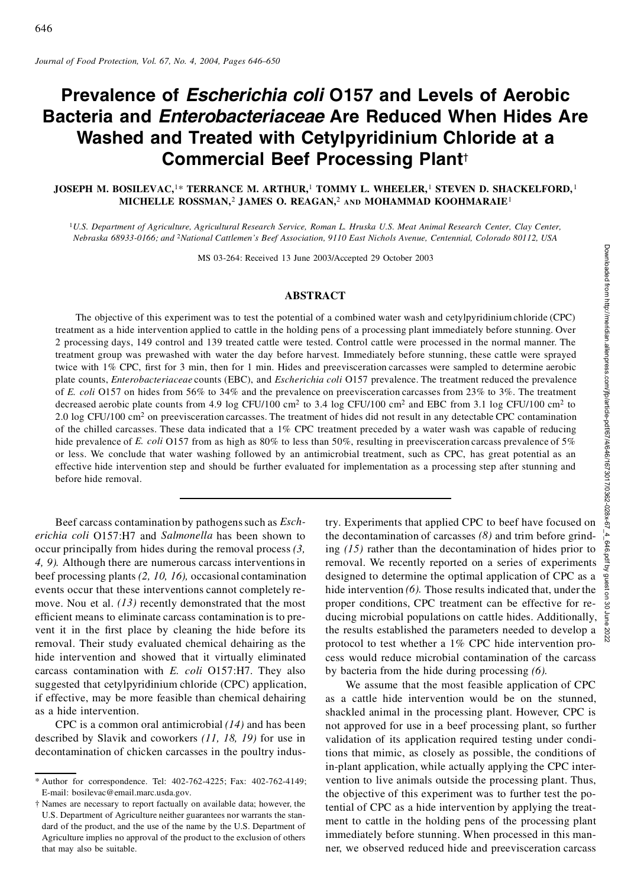# **Prevalence of** *Escherichia coli* **O157 and Levels of Aerobic Bacteria and** *Enterobacteriaceae* **Are Reduced When Hides Are Washed and Treated with Cetylpyridinium Chloride at a Commercial Beef Processing Plant**†

### **JOSEPH M.BOSILEVAC,**1\* **TERRANCE M. ARTHUR,**<sup>1</sup> **TOMMY L. WHEELER,**<sup>1</sup> **STEVEN D. SHACKELFORD,** <sup>1</sup> **MICHELLE ROSSMAN,**<sup>2</sup> **JAMES O. REAGAN,**<sup>2</sup> **AND MOHAMMAD KOOHMARAIE**<sup>1</sup>

<sup>1</sup>U.S. Department of Agriculture, Agricultural Research Service, Roman L. Hruska U.S. Meat Animal Research Center, Clay Center, Nebraska 68933-0166; and <sup>2</sup>National Cattlemen's Beef Association, 9110 East Nichols Avenue, Centennial, Colorado 80112, USA

MS 03-264: Received 13 June 2003/Accepted 29 October 2003

#### **ABSTRACT**

The objective of this experiment was to test the potential of a combined water wash and cetylpyridiniumchloride (CPC) treatment as a hide intervention applied to cattle in the holding pens of a processing plant immediately before stunning. Over 2 processing days, 149 control and 139 treated cattle were tested. Control cattle were processed in the normal manner. The treatment group was prewashed with water the day before harvest. Immediately before stunning, these cattle were sprayed twice with 1% CPC, first for 3 min, then for 1 min. Hides and preevisceration carcasses were sampled to determine aerobic plate counts, *Enterobacteriaceae* counts (EBC), and *Escherichia coli* O157 prevalence. The treatment reduced the prevalence of *E. coli* O157 on hides from 56% to34% and the prevalence on preevisceration carcasses from 23% to3%. The treatment decreased aerobic plate counts from 4.9 log CFU/100 cm<sup>2</sup> to 3.4 log CFU/100 cm<sup>2</sup> and EBC from 3.1 log CFU/100 cm<sup>2</sup> to 2.0 log CFU/100 cm<sup>2</sup> on preevisceration carcasses. The treatment of hides did not result in any detectable CPC contamination of the chilled carcasses. These data indicated that a 1% CPC treatment preceded by a water wash was capable of reducing hide prevalence of *E. coli* O157 from as high as 80% to less than 50%, resulting in preevisceration carcass prevalence of 5% or less. We conclude that water washing followed by an antimicrobial treatment, such as CPC, has great potential as an effective hide intervention step and should be further evaluated for implementation as a processing step after stunning and before hide removal. 33/Accepted 29 October 2003<br> **ACT**<br> **a** combined water wash and cetylpyridinium chloride (CPC)<br>
enens of a procession plant immediately before suming. Over<br>
d. Control cattle were processed in the normal manner. The<br>
est.

Beef carcass contamination by pathogens such as *Escherichia coli* O157:H7 and *Salmonella* has been shown to occur principally from hides during the removal process *(3, 4, 9).* Although there are numerous carcass interventionsin beef processing plants *(2, 10, 16),* occasional contamination events occur that these interventions cannot completely remove. Nou et al. (13) recently demonstrated that the most efficient means to eliminate carcass contamination is to prevent it in the first place by cleaning the hide before its removal. Their study evaluated chemical dehairing as the hide intervention and showed that it virtually eliminated carcass contamination with *E. coli* O157:H7. They also suggested that cetylpyridinium chloride (CPC) application, if effective, may be more feasible than chemical dehairing as a hide intervention.

CPC is a common oral antimicrobial *(14)* and has been described by Slavik and coworkers *(11, 18, 19)* for use in decontamination of chicken carcasses in the poultry industhe decontamination of carcasses *(8)* and trim before grinding *(15)* rather than the decontamination of hides prior to removal. We recently reported on a series of experiments designed to determine the optimal application of CPC as a hide intervention *(6).* Those results indicated that, under the proper conditions, CPC treatment can be effective for reducing microbial populations on cattle hides. Additionally, the results established the parameters needed to develop a protocol to test whether a 1% CPC hide intervention process would reduce microbial contamination of the carcass by bacteria from the hide during processing *(6).*

We assume that the most feasible application of CPC as a cattle hide intervention would be on the stunned, shackled animal in the processing plant. However, CPC is not approved for use in a beef processing plant, so further validation of its application required testing under conditions that mimic, as closely as possible, the conditions of in-plant application, while actually applying the CPC intervention to live animals outside the processing plant. Thus, the objective of this experiment was to further test the potential of CPC as a hide intervention by applying the treatment to cattle in the holding pens of the processing plant immediately before stunning. When processed in this manner, we observed reduced hide and preevisceration carcass

<sup>\*</sup> Author for correspondence. Tel: 402-762-4225; Fax: 402-762-4149; E-mail: bosilevac@email.marc.usda.gov.

<sup>†</sup> Names are necessary to report factually on available data; however, the U.S. Department of Agriculture neither guarantees nor warrants the standard of the product, and the use of the name by the U.S. Department of Agriculture implies no approval of the product to the exclusion of others that may also be suitable.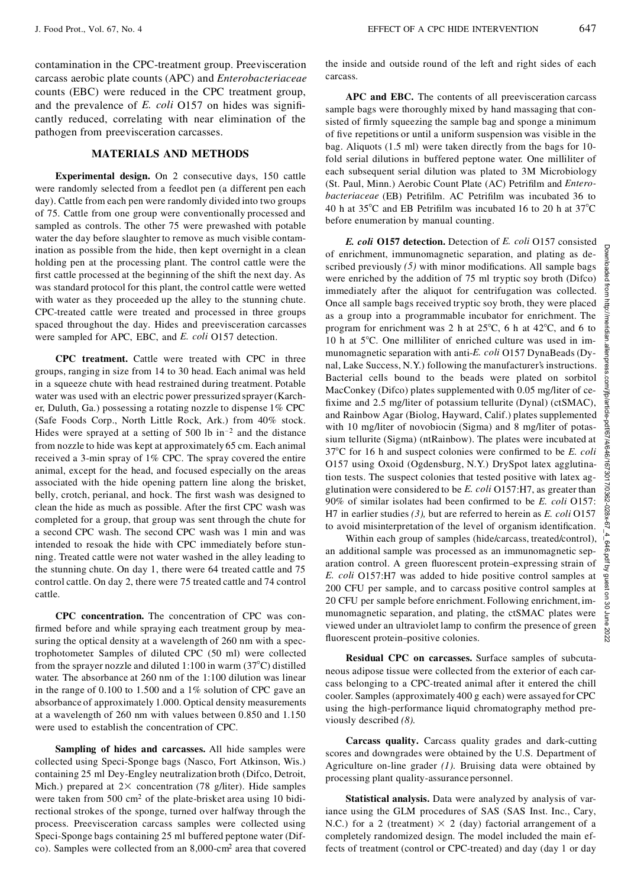contamination in the CPC-treatment group. Preevisceration carcass aerobic plate counts (APC) and *Enterobacteriaceae* counts (EBC) were reduced in the CPC treatment group, and the prevalence of *E. coli* O157 on hides was significantly reduced, correlating with near elimination of the pathogen from preevisceration carcasses.

## **MATERIALS AND METHODS**

**Experimental design.** On 2 consecutive days, 150 cattle were randomly selected from a feedlot pen (a different pen each day). Cattle from each pen were randomly divided into two groups of 75. Cattle from one group were conventionally processed and sampled as controls. The other 75 were prewashed with potable water the day before slaughter to remove as much visible contamination as possible from the hide, then kept overnight in a clean holding pen at the processing plant. The control cattle were the first cattle processed at the beginning of the shift the next day. As was standard protocol for this plant, the control cattle were wetted with water as they proceeded up the alley to the stunning chute. CPC-treated cattle were treated and processed in three groups spaced throughout the day. Hides and preevisceration carcasses were sampled for APC, EBC, and *E. coli* O157 detection.

**CPC treatment.** Cattle were treated with CPC in three groups, ranging in size from 14 to 30 head. Each animal was held in a squeeze chute with head restrained during treatment. Potable water was used with an electric power pressurized sprayer(Karch er, Duluth, Ga.) possessing a rotating nozzle to dispense 1% CPC (Safe Foods Corp., North Little Rock, Ark.) from 40% stock. Hides were sprayed at a setting of 500 lb in<sup>-2</sup> and the distance from nozzle to hide was kept at approximately 65 cm. Each animal received a 3-min spray of 1% CPC. The spray covered the entire animal, except for the head, and focused especially on the areas associated with the hide opening pattern line along the brisket, belly, crotch, perianal, and hock. The first wash was designed to clean the hide as much as possible. After the first CPC wash was completed for a group, that group was sent through the chute for a second CPC wash. The second CPC wash was 1 min and was intended to resoak the hide with CPC immediately before stunning. Treated cattle were not water washed in the alley leading to the stunning chute. On day 1, there were 64 treated cattle and 75 control cattle. On day 2, there were 75 treated cattle and 74 control cattle.

**CPC concentration.** The concentration of CPC was con firmed before and while spraying each treatment group by measuring the optical density at a wavelength of 260 nm with a spectrophotometer. Samples of diluted CPC (50 ml) were collected from the sprayer nozzle and diluted 1:100 in warm  $(37^{\circ}C)$  distilled water. The absorbance at 260 nm of the 1:100 dilution was linear in the range of 0.100 to 1.500 and a 1% solution of CPC gave an absorbance of approximately 1.000. Optical density measurements at a wavelength of 260 nm with values between 0.850 and 1.150 were used to establish the concentration of CPC.

**Sampling of hides and carcasses.** All hide samples were collected using Speci-Sponge bags (Nasco, Fort Atkinson, Wis.) containing 25 ml Dey-Engley neutralization broth (Difco, Detroit, Mich.) prepared at  $2 \times$  concentration (78 g/liter). Hide samples were taken from 500 cm<sup>2</sup> of the plate-brisket area using 10 bidirectional strokes of the sponge, turned over halfway through the process. Preevisceration carcass samples were collected using Speci-Sponge bags containing 25 ml buffered peptone water (Difco). Samples were collected from an 8,000-cm<sup>2</sup> area that covered the inside and outside round of the left and right sides of each carcass.

**APC and EBC.** The contents of all preevisceration carcass sample bags were thoroughly mixed by hand massaging that consisted of firmly squeezing the sample bag and sponge a minimum of five repetitions or until a uniform suspension was visible in the bag. Aliquots (1.5 ml) were taken directly from the bags for 10 fold serial dilutions in buffered peptone water. One milliliter of each subsequent serial dilution was plated to 3M Microbiology (St. Paul, Minn.) Aerobic Count Plate (AC) Petrilm and *Entero*bacteriaceae (EB) Petrifilm. AC Petrifilm was incubated 36 to 40 h at  $35^{\circ}$ C and EB Petrifilm was incubated 16 to 20 h at  $37^{\circ}$ C before enumeration by manual counting.

*E. coli* **O157 detection.** Detection of *E. coli* O157 consisted of enrichment, immunomagnetic separation, and plating as described previously (5) with minor modifications. All sample bags  $\frac{5}{8}$  were enriched by the addition of 75 ml tryptic soy broth (Difco) were enriched by the addition of 75 ml tryptic soy broth (Difco)  $\frac{8}{3}$  immediately after the aliquot for centrifugation was collected. immediately after the aliquot for centrifugation was collected. Once all sample bags received tryptic soy broth, they were placed  $\frac{3}{5}$ as a group into a programmable incubator for enrichment. The program for enrichment was 2 h at 25°C, 6 h at 42°C, and 6 to 10 h at 5°C. One milliliter of enriched culture was used in im-<br>munomagnetic separation with antiprogram for enrichment was 2 h at  $25^{\circ}$ C, 6 h at  $42^{\circ}$ C, and 6 to 10 h at  $5^{\circ}$ C. One milliliter of enriched culture was used in immunomagnetic separation with anti-*E. coli* O157 DynaBeads (Dynal, Lake Success, N.Y.) following the manufacturer's instructions. Bacterial cells bound to the beads were plated on sorbitol MacConkey (Difco) plates supplemented with 0.05 mg/liter of ce fixime and 2.5 mg/liter of potassium tellurite (Dynal) (ctSMAC), and Rainbow Agar (Biolog, Hayward, Calif.) plates supplemented with 10 mg/liter of novobiocin (Sigma) and 8 mg/liter of potassium tellurite (Sigma) (ntRainbow). The plates were incubated at  $37^{\circ}$ C for 16 h and suspect colonies were confirmed to be *E. coli* O157 using Oxoid (Ogdensburg, N.Y.) DrySpot latex agglutination tests. The suspect colonies that tested positive with latex ag-O157 using Oxoid (Ogdensburg, N.Y.) DrySpot latex agglutination tests. The suspect colonies that tested positive with latex agglutination were considered to be *E. coli* O157:H7, as greater than 90% of similar isolates ha 90% of similar isolates had been confirmed to be *E. coli* O157: H7 in earlier studies *(3),* but are referred to herein as *E. coli* O157

to avoid misinterpretation of the level of organism identification.<br>Within each group of samples (hide/carcass, treated/control),  $\frac{1}{\rho}$ <br>an additional sample was processed as an immunomagnetic sep-<br>aration control. A Within each group of samples (hide/carcass, treated/control), an additional sample was processed as an immunomagnetic separation control. A green fluorescent protein-expressing strain of *E. coli* O157:H7 was added to hide positive control samples at  $\frac{5}{6}$  200 CFU per sample, and to carcass positive control samples at  $\frac{9}{2}$  20 CFU per sample before enrichment Following enrichment im 200 CFU per sample, and to carcass positive control samples at 20 CFU per sample before enrichment. Following enrichment, imzo CPC per sample octore embedded. Tonowing embedded, the<br>munomagnetic separation, and plating, the ctSMAC plates were viewed under an ultraviolet lamp to confirm the presence of green  $\frac{8}{8}$ <br>fluorescent protein-positive colonies. fluorescent protein–positive colonies.

**Residual CPC on carcasses.** Surface samples of subcuta neous adipose tissue were collected from the exterior of each car cass belonging to a CPC-treated animal after it entered the chill cooler. Samples (approximately 400 g each) were assayed for CPC using the high-performance liquid chromatography method previously described *(8).*

**Carcass quality.** Carcass quality grades and dark-cutting scores and downgrades were obtained by the U.S. Department of Agriculture on-line grader *(1).* Bruising data were obtained by processing plant quality-assurance personnel.

**Statistical analysis.** Data were analyzed by analysis of variance using the GLM procedures of SAS (SAS Inst. Inc., Cary, N.C.) for a 2 (treatment)  $\times$  2 (day) factorial arrangement of a completely randomized design. The model included the main effects of treatment (control or CPC-treated) and day (day 1 or day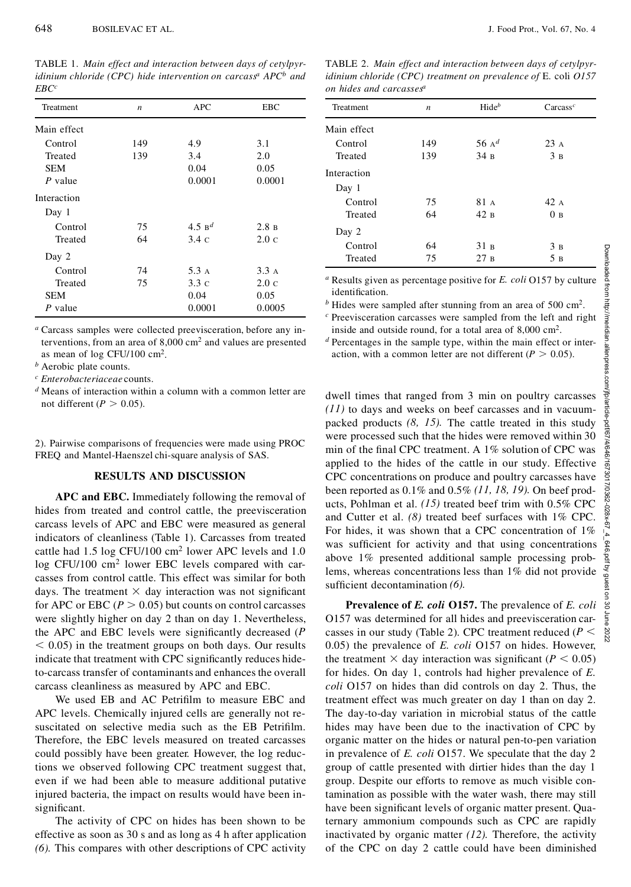TABLE 1.*Main effect and interaction between days of cetylpyridinium chloride (CPC) hide intervention on carcass<sup>a</sup> APC<sup>b</sup> and EBC<sup>c</sup>*

| Treatment   | n   | <b>APC</b>           | EBC            |
|-------------|-----|----------------------|----------------|
| Main effect |     |                      |                |
| Control     | 149 | 4.9                  | 3.1            |
| Treated     | 139 | 3.4                  | 2.0            |
| <b>SEM</b>  |     | 0.04                 | 0.05           |
| $P$ value   |     | 0.0001               | 0.0001         |
| Interaction |     |                      |                |
| Day 1       |     |                      |                |
| Control     | 75  | $4.5$ B <sup>d</sup> | 2.8 B          |
| Treated     | 64  | $3.4\,c$             | $2.0\text{ c}$ |
| Day 2       |     |                      |                |
| Control     | 74  | 5.3 A                | 3.3A           |
| Treated     | 75  | $3.3\,c$             | $2.0\text{ c}$ |
| <b>SEM</b>  |     | 0.04                 | 0.05           |
| P value     |     | 0.0001               | 0.0005         |
|             |     |                      |                |

*<sup>a</sup>* Carcass samples were collected preevisceration, before any interventions, from an area of 8,000 cm<sup>2</sup> and values are presented as mean of log CFU/100 cm<sup>2</sup> .

*<sup>b</sup>* Aerobic plate counts.

*<sup>c</sup> Enterobacteriaceae* counts.

2). Pairwise comparisons of frequencies were made using PROC FREQ and Mantel-Haenszel chi-square analysis of SAS.

## **RESULTS AND DISCUSSION**

**APC and EBC.** Immediately following the removal of hides from treated and control cattle, the preevisceration carcass levels of APC and EBC were measured as general indicators of cleanliness (Table 1). Carcasses from treated cattle had 1.5 log CFU/100 cm<sup>2</sup> lower APC levels and 1.0 log CFU/100 cm<sup>2</sup> lower EBC levels compared with carcasses from control cattle. This effect was similar for both days. The treatment  $\times$  day interaction was not significant for APC or EBC ( $P > 0.05$ ) but counts on control carcasses were slightly higher on day 2 than on day 1. Nevertheless, the APC and EBC levels were significantly decreased (*P*  $<$  0.05) in the treatment groups on both days. Our results indicate that treatment with CPC significantly reduces hideto-carcass transfer of contaminants and enhances the overall carcass cleanliness as measured by APC and EBC.

We used EB and AC Petrifilm to measure EBC and APC levels. Chemically injured cells are generally not resuscitated on selective media such as the EB Petrifilm. Therefore, the EBC levels measured on treated carcasses could possibly have been greater. However, the log reductions we observed following CPC treatment suggest that, even if we had been able to measure additional putative injured bacteria, the impact on results would have been insignificant.

The activity of CPC on hides has been shown to be effective as soon as 30 s and as long as 4 h after application *(6).* This compares with other descriptions of CPC activity

TABLE 2.*Main effect and interaction between days of cetylpyridinium chloride (CPC) treatment on prevalence of* E. coli *O157 on hides and carcasses<sup>a</sup>*

| Treatment   | $\boldsymbol{n}$ | $Hide^b$        | $\text{Carcass}^c$ |
|-------------|------------------|-----------------|--------------------|
| Main effect |                  |                 |                    |
| Control     | 149              | 56 $A^d$        | 23A                |
| Treated     | 139              | 34 B            | 3B                 |
| Interaction |                  |                 |                    |
| Day 1       |                  |                 |                    |
| Control     | 75               | 81 A            | 42A                |
| Treated     | 64               | 42B             | 0в                 |
| Day 2       |                  |                 |                    |
| Control     | 64               | 31 <sub>B</sub> | 3B                 |
| Treated     | 75               | 27B             | 5в                 |

inside and outside round, for a total area of 8,000 cm<sup>2</sup> .

*<sup>d</sup>* Percentages in the sample type, within the main effect or interaction, with a common letter are not different  $(P > 0.05)$ .

*c* Preevisceration carcasses were sampled from the left and right inside and outside round, for a total area of 8,000 cm<sup>2</sup>.<br> *d* Percentages in the sample type, within the main effect or inter-<br>
action, with a common le dwell times that ranged from 3 min on poultry carcasses *(11)* to days and weeks on beef carcasses and in vacuumpacked products *(8, 15).* The cattle treated in this study were processed such that the hides were removed within 30 min of the final CPC treatment. A  $1\%$  solution of CPC was applied to the hides of the cattle in our study. Effective  $\frac{3}{2}$ CPC concentrations on produce and poultry carcasses have<br>been reported as 0.1% and 0.5% (11, 18, 19). On beef products, Pohlman et al. (15) treated beef trim with 0.5% CPC<br>and Cutter et al. (8) treated beef surfaces with been reported as 0.1% and 0.5% *(11,18, 19).* On beef products, Pohlman et al. *(15)* treated beef trim with 0.5% CPC and Cutter et al. *(8)* treated beef surfaces with 1% CPC. For hides, it was shown that a CPC concentration of  $1\%$ was sufficient for activity and that using concentrations  $\frac{2}{3}$ <br>above 1% presented additional sample processing prob-<br>lems, whereas concentrations less than 1% did not provide<br>sufficient decontamination (6).<br>**Prevalen** above 1% presented additional sample processing problems, whereas concentrations less than 1% did not provide sufficient decontamination (6).

**Prevalence of** *E. coli* **O157.** The prevalence of *E. coli* O157 was determined for all hides and preevisceration carcasses in our study (Table 2). CPC treatment reduced  $(P \leq$ 0.05) the prevalence of *E. coli* O157 on hides. However, the treatment  $\times$  day interaction was significant ( $P \le 0.05$ ) for hides. On day 1, controls had higher prevalence of *E. coli* O157 on hides than did controls on day 2. Thus, the treatment effect was much greater on day 1 than on day 2. The day-to-day variation in microbial status of the cattle hides may have been due to the inactivation of CPC by organic matter on the hides or natural pen-to-pen variation in prevalence of *E. coli* O157. We speculate that the day 2 group of cattle presented with dirtier hides than the day 1 group. Despite our efforts to remove as much visible contamination as possible with the water wash, there may still have been significant levels of organic matter present. Quaternary ammonium compounds such as CPC are rapidly inactivated by organic matter *(12).* Therefore, the activity of the CPC on day 2 cattle could have been diminished

*<sup>d</sup>* Means of interaction within a column with a common letter are not different ( $P > 0.05$ ).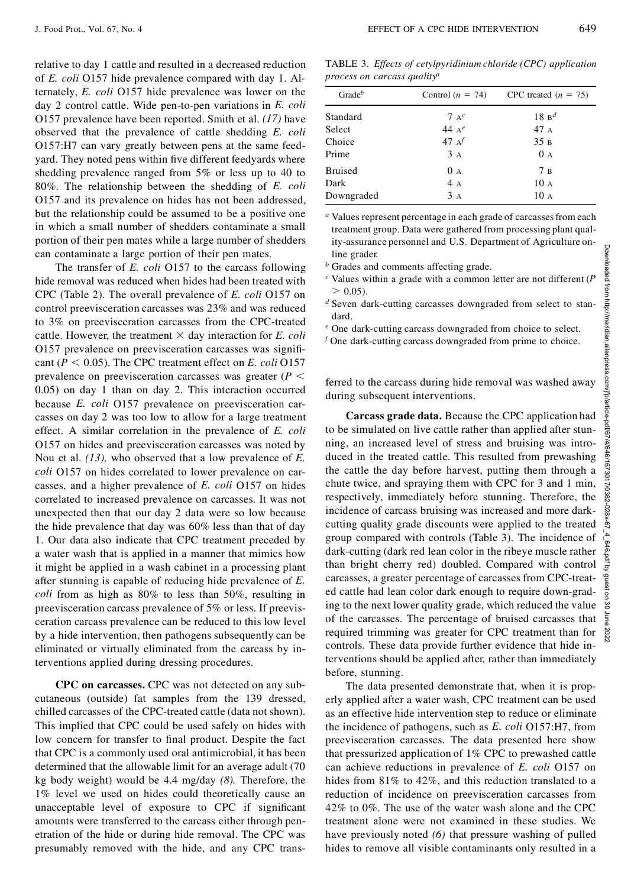relative to day 1 cattle and resulted in a decreased reduction of *E. coli* O157 hide prevalence compared with day 1. Alternately, *E. coli* O157 hide prevalence was lower on the day 2 control cattle. Wide pen-to-pen variations in *E. coli* O157 prevalence have been reported. Smith et al. *(17)* have observed that the prevalence of cattle shedding *E. coli* O157:H7 can vary greatly between pens at the same feedyard. They noted pens within five different feedyards where shedding prevalence ranged from 5% or less up to 40 to 80%. The relationship between the shedding of *E. coli* O157 and its prevalence on hides has not been addressed, but the relationship could be assumed to be a positive one in which a small number of shedders contaminate a small portion of their pen mates while a large number of shedders can contaminate a large portion of their pen mates.

The transfer of *E. coli* O157 to the carcass following hide removal was reduced when hides had been treated with CPC (Table 2). The overall prevalence of *E. coli* O157 on control preevisceration carcasses was 23% and was reduced to 3% on preevisceration carcasses from the CPC-treated cattle. However, the treatment  $\times$  day interaction for *E. coli* O157 prevalence on preevisceration carcasses was significant ( $P < 0.05$ ). The CPC treatment effect on *E. coli* O157 prevalence on preevisceration carcasses was greater  $(P \leq$ 0.05) on day 1 than on day 2. This interaction occurred because *E. coli* O157 prevalence on preevisceration carcasses on day 2 was too low to allow for a large treatment effect. A similar correlation in the prevalence of *E. coli* O157 on hides and preevisceration carcasses was noted by Nou et al. *(13),* who observed that a low prevalence of *E. coli* O157 on hides correlated to lower prevalence on carcasses, and a higher prevalence of *E. coli* O157 on hides correlated to increased prevalence on carcasses. It was not unexpected then that our day 2 data were so low because the hide prevalence that day was 60% less than that of day 1. Our data also indicate that CPC treatment preceded by a water wash that is applied in a manner that mimics how it might be applied in a wash cabinet in a processing plant after stunning is capable of reducing hide prevalence of *E. coli* from as high as 80% to less than 50%, resulting in preevisceration carcass prevalence of 5% or less. If preevisceration carcass prevalence can be reduced to this low level by a hide intervention, then pathogens subsequently can be eliminated or virtually eliminated from the carcass by interventions applied during dressing procedures.

**CPC on carcasses.** CPC was not detected on any subcutaneous (outside) fat samples from the 139 dressed, chilled carcasses of the CPC-treated cattle (data not shown). This implied that CPC could be used safely on hides with low concern for transfer to final product. Despite the fact that CPC is a commonly used oral antimicrobial, it has been determined that the allowable limit for an average adult (70 kg body weight) would be 4.4 mg/day *(8).* Therefore, the 1% level we used on hides could theoretically cause an unacceptable level of exposure to CPC if significant amounts were transferred to the carcass either through penetration of the hide or during hide removal. The CPC was presumably removed with the hide, and any CPC trans-

| Gradeb         | Control $(n = 74)$ | CPC treated $(n = 75)$ |
|----------------|--------------------|------------------------|
| Standard       | $7 A^c$            | $18B^d$                |
| Select         | 44 $A^e$           | 47A                    |
| Choice         | 47 $A^f$           | 35B                    |
| Prime          | 3A                 | 0A                     |
| <b>Bruised</b> | 0A                 | 7B                     |
| Dark           | 4A                 | 10A                    |
| Downgraded     | 3A                 | 10A                    |

*<sup>a</sup>* Values represent percentage in each grade of carcassesfrom each treatment group. Data were gathered from processing plant quality-assurance personnel and U.S. Department of Agriculture online grader.

*<sup>b</sup>* Grades and comments affecting grade.

*c* Values within a grade with a common letter are not different (*P*  $> 0.05$ ).  $> 0.05$ ).

*<sup>d</sup>* Seven dark-cutting carcasses downgraded from select to standard.

*<sup>e</sup>* One dark-cutting carcass downgraded from choice to select.

*<sup>f</sup>* One dark-cutting carcass downgraded from prime to choice.

during subsequent interventions.

*d* Seven dark-cutting carcasses downgraded from select to stan-<br>dard.<br>
<sup>e</sup> One dark-cutting carcass downgraded from choice to select.<br>  $f$  One dark-cutting carcass downgraded from prime to choice.<br>  $\frac{1}{2}$ <br>
ferred to t **Carcass grade data.** Because the CPC application had to be simulated on live cattle rather than applied after stunning, an increased level of stress and bruising was introduced in the treated cattle. This resulted from prewashing the cattle the day before harvest, putting them through a chute twice, and spraying them with CPC for 3 and 1 min, respectively, immediately before stunning. Therefore, the incidence of carcass bruising was increased and more darkcutting quality grade discounts were applied to the treated group compared with controls (Table 3). The incidence of dark-cutting (dark red lean color in the ribeye muscle rather than bright cherry red) doubled. Compared with control carcasses, a greater percentage of carcasses from CPC-treated cattle had lean color dark enough to require down-grading to the next lower quality grade, which reduced the value of the carcasses. The percentage of bruised carcasses that required trimming was greater for CPC treatment than for controls. These data provide further evidence that hide interventions should be applied after, rather than immediately before, stunning. line grader<br>
<sup>6</sup> Crackes and comments affecting grade.<br>
<sup>5</sup> Crackes and comments affecting grade.<br>
<sup>5</sup> Crackes and comment and with a common letter are not different (*P*  $\frac{1}{8}$ <br>
<sup>5</sup> Seven dark-cutting carcasses downgr

The data presented demonstrate that, when it is properly applied after a water wash, CPC treatment can be used as an effective hide intervention step to reduce or eliminate the incidence of pathogens, such as *E. coli* O157:H7, from preevisceration carcasses. The data presented here show that pressurized application of 1% CPC to prewashed cattle can achieve reductions in prevalence of *E. coli* O157 on hides from 81% to 42%, and this reduction translated to a reduction of incidence on preevisceration carcasses from 42% to0%. The use of the water wash alone and the CPC treatment alone were not examined in these studies. We have previously noted *(6)* that pressure washing of pulled